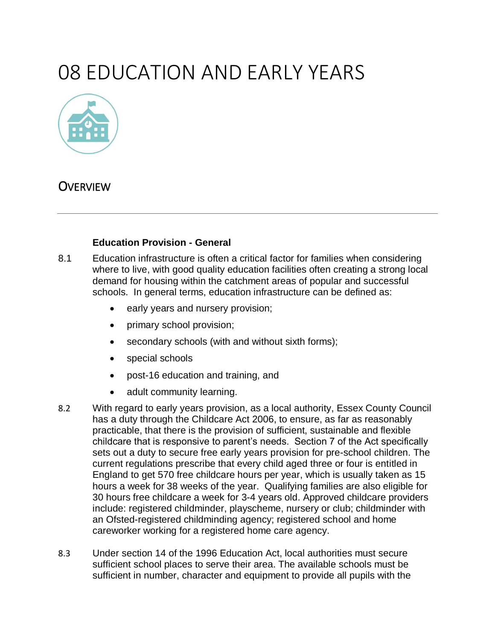# 08 EDUCATION AND EARLY YEARS



# **OVERVIEW**

#### **Education Provision - General**

- 8.1 Education infrastructure is often a critical factor for families when considering where to live, with good quality education facilities often creating a strong local demand for housing within the catchment areas of popular and successful schools. In general terms, education infrastructure can be defined as:
	- early years and nursery provision;
	- primary school provision;
	- secondary schools (with and without sixth forms);
	- special schools
	- post-16 education and training, and
	- adult community learning.
- 8.2 With regard to early years provision, as a local authority, Essex County Council has a duty through the Childcare Act 2006, to ensure, as far as reasonably practicable, that there is the provision of sufficient, sustainable and flexible childcare that is responsive to parent's needs. Section 7 of the Act specifically sets out a duty to secure free early years provision for pre-school children. The current regulations prescribe that every child aged three or four is entitled in England to get 570 free childcare hours per year, which is usually taken as 15 hours a week for 38 weeks of the year. Qualifying families are also eligible for 30 hours free childcare a week for 3-4 years old. Approved childcare providers include: registered childminder, playscheme, nursery or club; childminder with an Ofsted-registered childminding agency; registered school and home careworker working for a registered home care agency.
- 8.3 Under section 14 of the 1996 Education Act, local authorities must secure sufficient school places to serve their area. The available schools must be sufficient in number, character and equipment to provide all pupils with the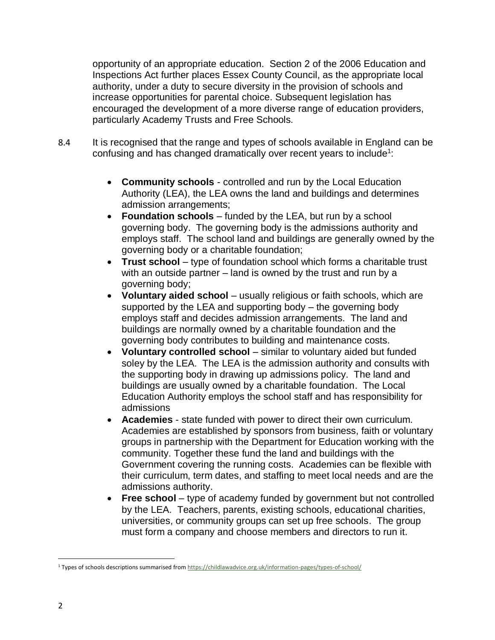opportunity of an appropriate education. Section 2 of the 2006 Education and Inspections Act further places Essex County Council, as the appropriate local authority, under a duty to secure diversity in the provision of schools and increase opportunities for parental choice. Subsequent legislation has encouraged the development of a more diverse range of education providers, particularly Academy Trusts and Free Schools.

- 8.4 It is recognised that the range and types of schools available in England can be confusing and has changed dramatically over recent years to include<sup>1</sup>:
	- **Community schools** controlled and run by the Local Education Authority (LEA), the LEA owns the land and buildings and determines admission arrangements;
	- **Foundation schools** funded by the LEA, but run by a school governing body. The governing body is the admissions authority and employs staff. The school land and buildings are generally owned by the governing body or a charitable foundation;
	- **Trust school** type of foundation school which forms a charitable trust with an outside partner – land is owned by the trust and run by a governing body;
	- **Voluntary aided school** usually religious or faith schools, which are supported by the LEA and supporting body – the governing body employs staff and decides admission arrangements. The land and buildings are normally owned by a charitable foundation and the governing body contributes to building and maintenance costs.
	- **Voluntary controlled school** similar to voluntary aided but funded soley by the LEA. The LEA is the admission authority and consults with the supporting body in drawing up admissions policy. The land and buildings are usually owned by a charitable foundation. The Local Education Authority employs the school staff and has responsibility for admissions
	- **Academies** state funded with power to direct their own curriculum. Academies are established by sponsors from business, faith or voluntary groups in partnership with the Department for Education working with the community. Together these fund the land and buildings with the Government covering the running costs. Academies can be flexible with their curriculum, term dates, and staffing to meet local needs and are the admissions authority.
	- **Free school** type of academy funded by government but not controlled by the LEA. Teachers, parents, existing schools, educational charities, universities, or community groups can set up free schools. The group must form a company and choose members and directors to run it.

 $\overline{a}$ 

<sup>1</sup> Types of schools descriptions summarised fro[m https://childlawadvice.org.uk/information-pages/types-of-school/](https://childlawadvice.org.uk/information-pages/types-of-school/)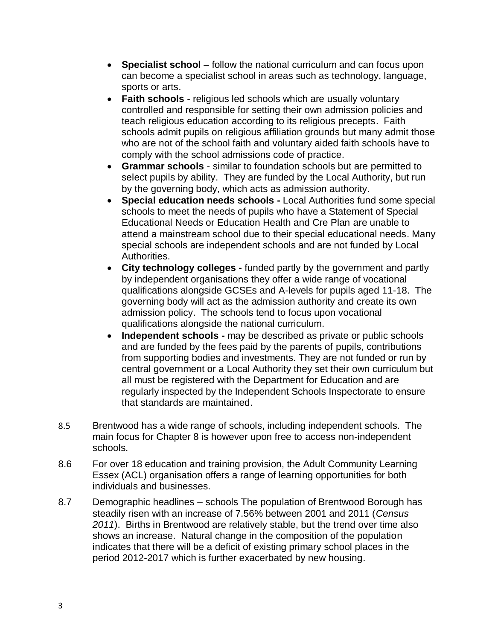- **Specialist school** follow the national curriculum and can focus upon can become a specialist school in areas such as technology, language, sports or arts.
- **Faith schools** religious led schools which are usually voluntary controlled and responsible for setting their own admission policies and teach religious education according to its religious precepts. Faith schools admit pupils on religious affiliation grounds but many admit those who are not of the school faith and voluntary aided faith schools have to comply with the school admissions code of practice.
- **Grammar schools**  similar to foundation schools but are permitted to select pupils by ability. They are funded by the Local Authority, but run by the governing body, which acts as admission authority.
- **Special education needs schools -** Local Authorities fund some special schools to meet the needs of pupils who have a Statement of Special Educational Needs or Education Health and Cre Plan are unable to attend a mainstream school due to their special educational needs. Many special schools are independent schools and are not funded by Local Authorities.
- **City technology colleges -** funded partly by the government and partly by independent organisations they offer a wide range of vocational qualifications alongside GCSEs and A-levels for pupils aged 11-18. The governing body will act as the admission authority and create its own admission policy. The schools tend to focus upon vocational qualifications alongside the national curriculum.
- **Independent schools -** may be described as private or public schools and are funded by the fees paid by the parents of pupils, contributions from supporting bodies and investments. They are not funded or run by central government or a Local Authority they set their own curriculum but all must be registered with the Department for Education and are regularly inspected by the [Independent Schools Inspectorate](http://www.isi.net/home/) to ensure that standards are maintained.
- 8.5 Brentwood has a wide range of schools, including independent schools. The main focus for Chapter 8 is however upon free to access non-independent schools.
- 8.6 For over 18 education and training provision, the Adult Community Learning Essex (ACL) organisation offers a range of learning opportunities for both individuals and businesses.
- 8.7 Demographic headlines schools The population of Brentwood Borough has steadily risen with an increase of 7.56% between 2001 and 2011 (*Census 2011*). Births in Brentwood are relatively stable, but the trend over time also shows an increase. Natural change in the composition of the population indicates that there will be a deficit of existing primary school places in the period 2012-2017 which is further exacerbated by new housing.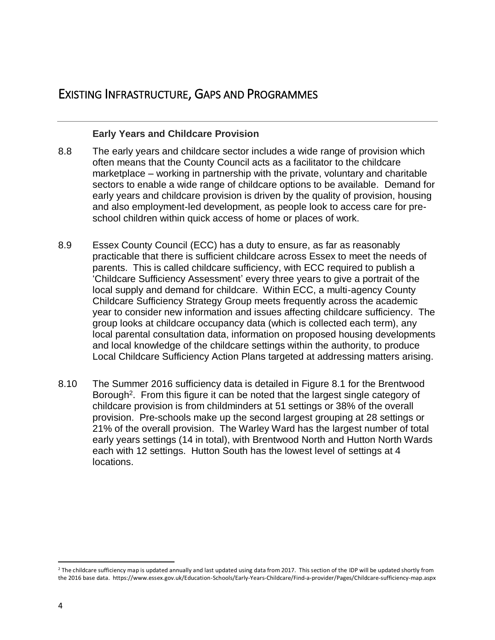# EXISTING INFRASTRUCTURE, GAPS AND PROGRAMMES

#### **Early Years and Childcare Provision**

- 8.8 The early years and childcare sector includes a wide range of provision which often means that the County Council acts as a facilitator to the childcare marketplace – working in partnership with the private, voluntary and charitable sectors to enable a wide range of childcare options to be available. Demand for early years and childcare provision is driven by the quality of provision, housing and also employment-led development, as people look to access care for preschool children within quick access of home or places of work.
- 8.9 Essex County Council (ECC) has a duty to ensure, as far as reasonably practicable that there is sufficient childcare across Essex to meet the needs of parents. This is called childcare sufficiency, with ECC required to publish a 'Childcare Sufficiency Assessment' every three years to give a portrait of the local supply and demand for childcare. Within ECC, a multi-agency County Childcare Sufficiency Strategy Group meets frequently across the academic year to consider new information and issues affecting childcare sufficiency. The group looks at childcare occupancy data (which is collected each term), any local parental consultation data, information on proposed housing developments and local knowledge of the childcare settings within the authority, to produce Local Childcare Sufficiency Action Plans targeted at addressing matters arising.
- 8.10 The Summer 2016 sufficiency data is detailed in Figure 8.1 for the Brentwood Borough<sup>2</sup>. From this figure it can be noted that the largest single category of childcare provision is from childminders at 51 settings or 38% of the overall provision. Pre-schools make up the second largest grouping at 28 settings or 21% of the overall provision. The Warley Ward has the largest number of total early years settings (14 in total), with Brentwood North and Hutton North Wards each with 12 settings. Hutton South has the lowest level of settings at 4 locations.

 $\overline{a}$  $<sup>2</sup>$  The childcare sufficiency map is updated annually and last updated using data from 2017. This section of the IDP will be updated shortly from</sup> the 2016 base data. https://www.essex.gov.uk/Education-Schools/Early-Years-Childcare/Find-a-provider/Pages/Childcare-sufficiency-map.aspx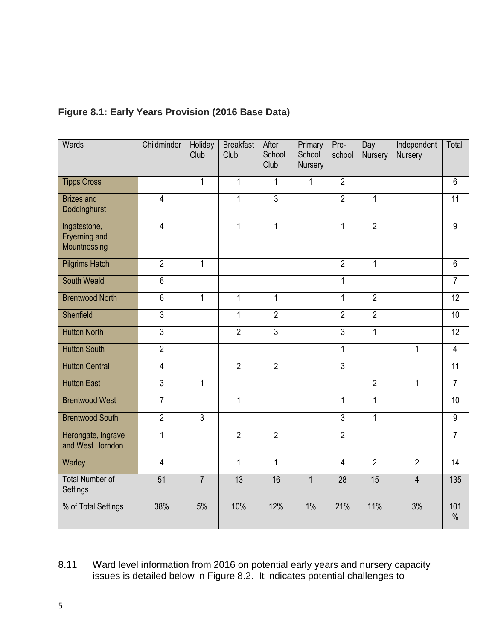| Wards                                                | Childminder     | Holiday<br>Club | <b>Breakfast</b><br>Club | After<br>School<br>Club | Primary<br>School<br>Nursery | Pre-<br>school | Day<br>Nursery | Independent<br><b>Nursery</b> | Total                |
|------------------------------------------------------|-----------------|-----------------|--------------------------|-------------------------|------------------------------|----------------|----------------|-------------------------------|----------------------|
| <b>Tipps Cross</b>                                   |                 | $\mathbf{1}$    | 1                        | 1                       | 1                            | $\overline{2}$ |                |                               | $6\phantom{1}$       |
| <b>Brizes and</b><br>Doddinghurst                    | $\overline{4}$  |                 | 1                        | $\overline{3}$          |                              | $\overline{2}$ | $\mathbf{1}$   |                               | 11                   |
| Ingatestone,<br><b>Fryerning and</b><br>Mountnessing | $\overline{4}$  |                 | 1                        | $\mathbf{1}$            |                              | $\mathbf{1}$   | $\overline{2}$ |                               | $\overline{9}$       |
| <b>Pilgrims Hatch</b>                                | $\overline{2}$  | $\mathbf{1}$    |                          |                         |                              | $\overline{2}$ | $\mathbf{1}$   |                               | 6                    |
| <b>South Weald</b>                                   | 6               |                 |                          |                         |                              | $\mathbf{1}$   |                |                               | $\overline{7}$       |
| <b>Brentwood North</b>                               | 6               | $\mathbf{1}$    | $\mathbf{1}$             | $\mathbf{1}$            |                              | $\mathbf{1}$   | $\overline{2}$ |                               | 12                   |
| Shenfield                                            | $\overline{3}$  |                 | $\mathbf 1$              | $\overline{2}$          |                              | $\overline{2}$ | $\overline{2}$ |                               | 10                   |
| <b>Hutton North</b>                                  | $\overline{3}$  |                 | $\overline{2}$           | $\overline{3}$          |                              | $\overline{3}$ | $\mathbf{1}$   |                               | $\overline{12}$      |
| <b>Hutton South</b>                                  | $\overline{2}$  |                 |                          |                         |                              | $\mathbf{1}$   |                | $\mathbf{1}$                  | $\overline{4}$       |
| <b>Hutton Central</b>                                | $\overline{4}$  |                 | $\overline{2}$           | $\overline{2}$          |                              | $\overline{3}$ |                |                               | $\overline{11}$      |
| <b>Hutton East</b>                                   | $\overline{3}$  | $\mathbf{1}$    |                          |                         |                              |                | $\overline{2}$ | $\mathbf{1}$                  | $\overline{7}$       |
| <b>Brentwood West</b>                                | $\overline{7}$  |                 | $\mathbf 1$              |                         |                              | $\mathbf{1}$   | $\overline{1}$ |                               | 10                   |
| <b>Brentwood South</b>                               | $\overline{2}$  | $\overline{3}$  |                          |                         |                              | $\overline{3}$ | $\mathbf{1}$   |                               | $\overline{9}$       |
| Herongate, Ingrave<br>and West Horndon               | 1               |                 | $\overline{2}$           | $\overline{2}$          |                              | $\overline{2}$ |                |                               | $\overline{7}$       |
| Warley                                               | $\overline{4}$  |                 | $\mathbf{1}$             | $\mathbf{1}$            |                              | $\overline{4}$ | $\overline{2}$ | $\overline{2}$                | 14                   |
| <b>Total Number of</b><br>Settings                   | $\overline{51}$ | $\overline{7}$  | 13                       | 16                      | $\mathbf{1}$                 | 28             | 15             | $\overline{4}$                | 135                  |
| % of Total Settings                                  | 38%             | 5%              | 10%                      | 12%                     | 1%                           | 21%            | 11%            | 3%                            | 101<br>$\frac{0}{0}$ |

# **Figure 8.1: Early Years Provision (2016 Base Data)**

# 8.11 Ward level information from 2016 on potential early years and nursery capacity issues is detailed below in Figure 8.2. It indicates potential challenges to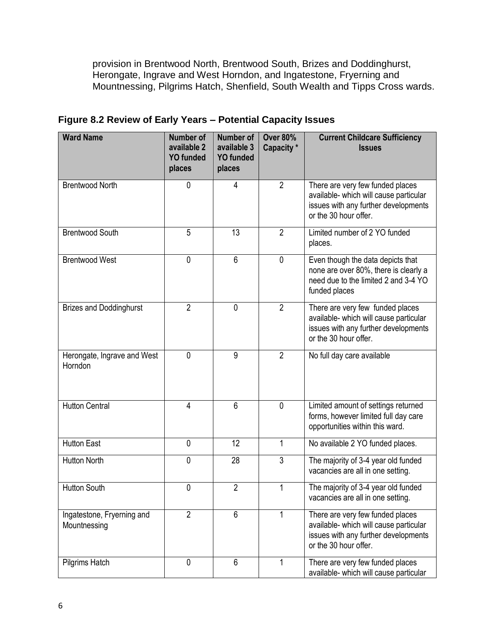provision in Brentwood North, Brentwood South, Brizes and Doddinghurst, Herongate, Ingrave and West Horndon, and Ingatestone, Fryerning and Mountnessing, Pilgrims Hatch, Shenfield, South Wealth and Tipps Cross wards.

| <b>Ward Name</b>                           | <b>Number of</b><br>available 2<br><b>YO funded</b><br>places | <b>Number of</b><br>available 3<br><b>YO funded</b><br>places | <b>Over 80%</b><br>Capacity * | <b>Current Childcare Sufficiency</b><br><b>Issues</b>                                                                                       |
|--------------------------------------------|---------------------------------------------------------------|---------------------------------------------------------------|-------------------------------|---------------------------------------------------------------------------------------------------------------------------------------------|
| <b>Brentwood North</b>                     | 0                                                             | 4                                                             | $\overline{2}$                | There are very few funded places<br>available- which will cause particular<br>issues with any further developments<br>or the 30 hour offer. |
| <b>Brentwood South</b>                     | 5                                                             | 13                                                            | $\overline{2}$                | Limited number of 2 YO funded<br>places.                                                                                                    |
| <b>Brentwood West</b>                      | 0                                                             | $\overline{6}$                                                | $\mathbf 0$                   | Even though the data depicts that<br>none are over 80%, there is clearly a<br>need due to the limited 2 and 3-4 YO<br>funded places         |
| <b>Brizes and Doddinghurst</b>             | $\overline{2}$                                                | $\mathbf{0}$                                                  | $\overline{2}$                | There are very few funded places<br>available- which will cause particular<br>issues with any further developments<br>or the 30 hour offer. |
| Herongate, Ingrave and West<br>Horndon     | $\mathbf{0}$                                                  | 9                                                             | $\overline{2}$                | No full day care available                                                                                                                  |
| <b>Hutton Central</b>                      | $\overline{\mathbf{4}}$                                       | 6                                                             | $\mathbf 0$                   | Limited amount of settings returned<br>forms, however limited full day care<br>opportunities within this ward.                              |
| <b>Hutton East</b>                         | $\mathbf{0}$                                                  | 12                                                            | 1                             | No available 2 YO funded places.                                                                                                            |
| <b>Hutton North</b>                        | 0                                                             | 28                                                            | 3                             | The majority of 3-4 year old funded<br>vacancies are all in one setting.                                                                    |
| <b>Hutton South</b>                        | 0                                                             | $\overline{2}$                                                | 1                             | The majority of 3-4 year old funded<br>vacancies are all in one setting.                                                                    |
| Ingatestone, Fryerning and<br>Mountnessing | $\overline{2}$                                                | 6                                                             | 1                             | There are very few funded places<br>available- which will cause particular<br>issues with any further developments<br>or the 30 hour offer. |
| Pilgrims Hatch                             | 0                                                             | 6                                                             | 1                             | There are very few funded places<br>available- which will cause particular                                                                  |

**Figure 8.2 Review of Early Years – Potential Capacity Issues**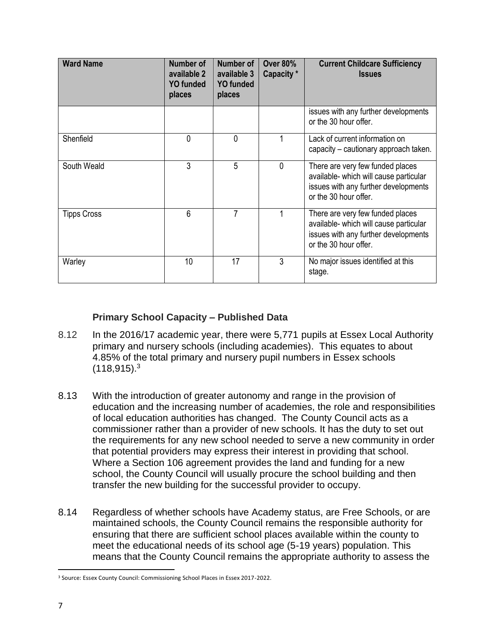| <b>Ward Name</b>   | <b>Number of</b><br>available 2<br><b>YO funded</b><br>places | Number of<br>available 3<br><b>YO</b> funded<br>places | <b>Over 80%</b><br>Capacity * | <b>Current Childcare Sufficiency</b><br><b>Issues</b>                                                                                       |
|--------------------|---------------------------------------------------------------|--------------------------------------------------------|-------------------------------|---------------------------------------------------------------------------------------------------------------------------------------------|
|                    |                                                               |                                                        |                               | issues with any further developments<br>or the 30 hour offer.                                                                               |
| Shenfield          | $\Omega$                                                      | 0                                                      |                               | Lack of current information on<br>capacity - cautionary approach taken.                                                                     |
| South Weald        | 3                                                             | 5                                                      | 0                             | There are very few funded places<br>available- which will cause particular<br>issues with any further developments<br>or the 30 hour offer. |
| <b>Tipps Cross</b> | 6                                                             | 7                                                      |                               | There are very few funded places<br>available- which will cause particular<br>issues with any further developments<br>or the 30 hour offer. |
| Warley             | 10                                                            | 17                                                     | 3                             | No major issues identified at this<br>stage.                                                                                                |

## **Primary School Capacity – Published Data**

- 8.12 In the 2016/17 academic year, there were 5,771 pupils at Essex Local Authority primary and nursery schools (including academies). This equates to about 4.85% of the total primary and nursery pupil numbers in Essex schools  $(118,915).<sup>3</sup>$
- 8.13 With the introduction of greater autonomy and range in the provision of education and the increasing number of academies, the role and responsibilities of local education authorities has changed. The County Council acts as a commissioner rather than a provider of new schools. It has the duty to set out the requirements for any new school needed to serve a new community in order that potential providers may express their interest in providing that school. Where a Section 106 agreement provides the land and funding for a new school, the County Council will usually procure the school building and then transfer the new building for the successful provider to occupy.
- 8.14 Regardless of whether schools have Academy status, are Free Schools, or are maintained schools, the County Council remains the responsible authority for ensuring that there are sufficient school places available within the county to meet the educational needs of its school age (5-19 years) population. This means that the County Council remains the appropriate authority to assess the

 $\overline{\phantom{a}}$ <sup>3</sup> Source: Essex County Council: Commissioning School Places in Essex 2017-2022.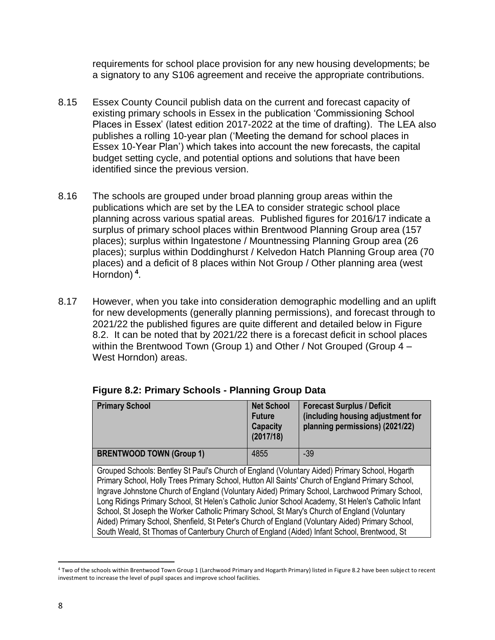requirements for school place provision for any new housing developments; be a signatory to any S106 agreement and receive the appropriate contributions.

- 8.15 Essex County Council publish data on the current and forecast capacity of existing primary schools in Essex in the publication 'Commissioning School Places in Essex' (latest edition 2017-2022 at the time of drafting). The LEA also publishes a rolling 10-year plan ('Meeting the demand for school places in Essex 10-Year Plan') which takes into account the new forecasts, the capital budget setting cycle, and potential options and solutions that have been identified since the previous version.
- 8.16 The schools are grouped under broad planning group areas within the publications which are set by the LEA to consider strategic school place planning across various spatial areas. Published figures for 2016/17 indicate a surplus of primary school places within Brentwood Planning Group area (157 places); surplus within Ingatestone / Mountnessing Planning Group area (26 places); surplus within Doddinghurst / Kelvedon Hatch Planning Group area (70 places) and a deficit of 8 places within Not Group / Other planning area (west Horndon) **<sup>4</sup>** .
- 8.17 However, when you take into consideration demographic modelling and an uplift for new developments (generally planning permissions), and forecast through to 2021/22 the published figures are quite different and detailed below in Figure 8.2. It can be noted that by 2021/22 there is a forecast deficit in school places within the Brentwood Town (Group 1) and Other / Not Grouped (Group 4 – West Horndon) areas.

| <b>Primary School</b>           | <b>Net School</b><br><b>Future</b><br>Capacity<br>(2017/18) | <b>Forecast Surplus / Deficit</b><br>(including housing adjustment for<br>planning permissions) (2021/22) |
|---------------------------------|-------------------------------------------------------------|-----------------------------------------------------------------------------------------------------------|
| <b>BRENTWOOD TOWN (Group 1)</b> | 4855                                                        | $-39$                                                                                                     |

# **Figure 8.2: Primary Schools - Planning Group Data**

Grouped Schools: Bentley St Paul's Church of England (Voluntary Aided) Primary School, Hogarth Primary School, Holly Trees Primary School, Hutton All Saints' Church of England Primary School, Ingrave Johnstone Church of England (Voluntary Aided) Primary School, Larchwood Primary School, Long Ridings Primary School, St Helen's Catholic Junior School Academy, St Helen's Catholic Infant School, St Joseph the Worker Catholic Primary School, St Mary's Church of England (Voluntary Aided) Primary School, Shenfield, St Peter's Church of England (Voluntary Aided) Primary School, South Weald, St Thomas of Canterbury Church of England (Aided) Infant School, Brentwood, St

 $\overline{a}$ <sup>4</sup> Two of the schools within Brentwood Town Group 1 (Larchwood Primary and Hogarth Primary) listed in Figure 8.2 have been subject to recent investment to increase the level of pupil spaces and improve school facilities.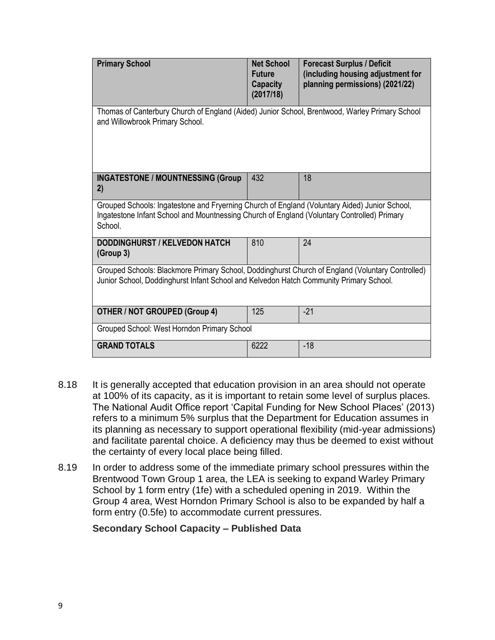| <b>Primary School</b>                                                                                                                                                                                   | <b>Net School</b><br><b>Future</b><br>Capacity<br>(2017/18) | <b>Forecast Surplus / Deficit</b><br>(including housing adjustment for<br>planning permissions) (2021/22) |
|---------------------------------------------------------------------------------------------------------------------------------------------------------------------------------------------------------|-------------------------------------------------------------|-----------------------------------------------------------------------------------------------------------|
| Thomas of Canterbury Church of England (Aided) Junior School, Brentwood, Warley Primary School<br>and Willowbrook Primary School.                                                                       |                                                             |                                                                                                           |
| <b>INGATESTONE / MOUNTNESSING (Group</b><br>2)                                                                                                                                                          | 432                                                         | 18                                                                                                        |
| Grouped Schools: Ingatestone and Fryerning Church of England (Voluntary Aided) Junior School,<br>Ingatestone Infant School and Mountnessing Church of England (Voluntary Controlled) Primary<br>School. |                                                             |                                                                                                           |
| <b>DODDINGHURST / KELVEDON HATCH</b><br>(Group 3)                                                                                                                                                       | 810                                                         | 24                                                                                                        |
| Grouped Schools: Blackmore Primary School, Doddinghurst Church of England (Voluntary Controlled)<br>Junior School, Doddinghurst Infant School and Kelvedon Hatch Community Primary School.              |                                                             |                                                                                                           |
| <b>OTHER / NOT GROUPED (Group 4)</b>                                                                                                                                                                    | 125                                                         | $-21$                                                                                                     |
| Grouped School: West Horndon Primary School                                                                                                                                                             |                                                             |                                                                                                           |
| <b>GRAND TOTALS</b>                                                                                                                                                                                     | 6222                                                        | $-18$                                                                                                     |

- 8.18 It is generally accepted that education provision in an area should not operate at 100% of its capacity, as it is important to retain some level of surplus places. The National Audit Office report 'Capital Funding for New School Places' (2013) refers to a minimum 5% surplus that the Department for Education assumes in its planning as necessary to support operational flexibility (mid-year admissions) and facilitate parental choice. A deficiency may thus be deemed to exist without the certainty of every local place being filled.
- 8.19 In order to address some of the immediate primary school pressures within the Brentwood Town Group 1 area, the LEA is seeking to expand Warley Primary School by 1 form entry (1fe) with a scheduled opening in 2019. Within the Group 4 area, West Horndon Primary School is also to be expanded by half a form entry (0.5fe) to accommodate current pressures.

**Secondary School Capacity – Published Data**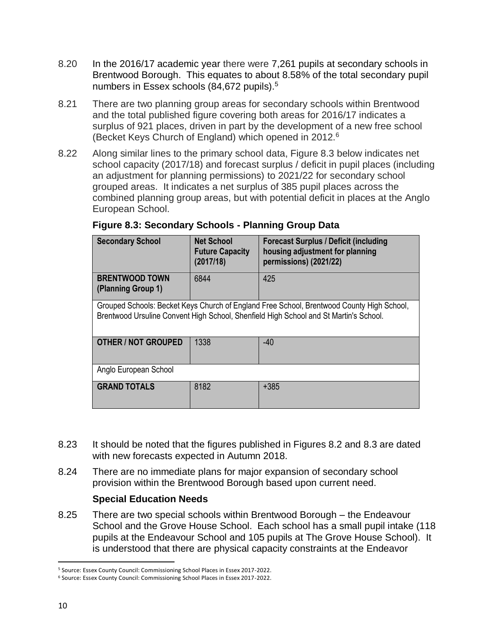- 8.20 In the 2016/17 academic year there were 7,261 pupils at secondary schools in Brentwood Borough. This equates to about 8.58% of the total secondary pupil numbers in Essex schools (84,672 pupils).<sup>5</sup>
- 8.21 There are two planning group areas for secondary schools within Brentwood and the total published figure covering both areas for 2016/17 indicates a surplus of 921 places, driven in part by the development of a new free school (Becket Keys Church of England) which opened in 2012.<sup>6</sup>
- 8.22 Along similar lines to the primary school data, Figure 8.3 below indicates net school capacity (2017/18) and forecast surplus / deficit in pupil places (including an adjustment for planning permissions) to 2021/22 for secondary school grouped areas. It indicates a net surplus of 385 pupil places across the combined planning group areas, but with potential deficit in places at the Anglo European School.

| <b>Secondary School</b>                     | <b>Net School</b><br><b>Future Capacity</b><br>(2017/18) | <b>Forecast Surplus / Deficit (including</b><br>housing adjustment for planning<br>permissions) (2021/22)                                                                          |  |  |  |  |  |
|---------------------------------------------|----------------------------------------------------------|------------------------------------------------------------------------------------------------------------------------------------------------------------------------------------|--|--|--|--|--|
| <b>BRENTWOOD TOWN</b><br>(Planning Group 1) | 6844                                                     | 425                                                                                                                                                                                |  |  |  |  |  |
|                                             |                                                          | Grouped Schools: Becket Keys Church of England Free School, Brentwood County High School,<br>Brentwood Ursuline Convent High School, Shenfield High School and St Martin's School. |  |  |  |  |  |
| <b>OTHER / NOT GROUPED</b>                  | 1338                                                     | $-40$                                                                                                                                                                              |  |  |  |  |  |
| Anglo European School                       |                                                          |                                                                                                                                                                                    |  |  |  |  |  |
| <b>GRAND TOTALS</b>                         | 8182                                                     | $+385$                                                                                                                                                                             |  |  |  |  |  |

# **Figure 8.3: Secondary Schools - Planning Group Data**

- 8.23 It should be noted that the figures published in Figures 8.2 and 8.3 are dated with new forecasts expected in Autumn 2018.
- 8.24 There are no immediate plans for major expansion of secondary school provision within the Brentwood Borough based upon current need.

# **Special Education Needs**

8.25 There are two special schools within Brentwood Borough – the Endeavour School and the Grove House School. Each school has a small pupil intake (118 pupils at the Endeavour School and 105 pupils at The Grove House School). It is understood that there are physical capacity constraints at the Endeavor

 $\overline{a}$ <sup>5</sup> Source: Essex County Council: Commissioning School Places in Essex 2017-2022.

<sup>6</sup> Source: Essex County Council: Commissioning School Places in Essex 2017-2022.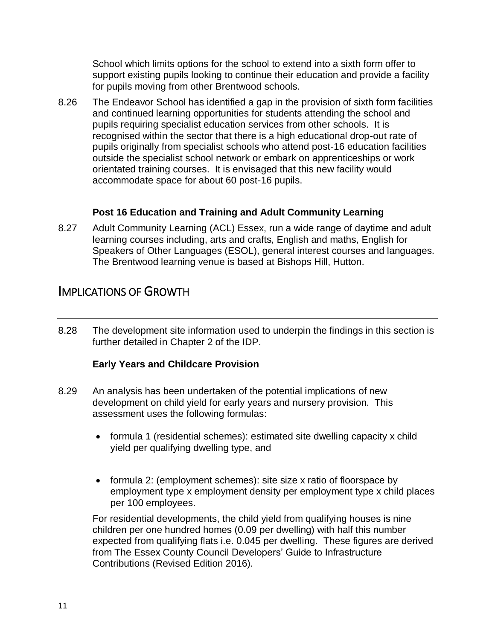School which limits options for the school to extend into a sixth form offer to support existing pupils looking to continue their education and provide a facility for pupils moving from other Brentwood schools.

8.26 The Endeavor School has identified a gap in the provision of sixth form facilities and continued learning opportunities for students attending the school and pupils requiring specialist education services from other schools. It is recognised within the sector that there is a high educational drop-out rate of pupils originally from specialist schools who attend post-16 education facilities outside the specialist school network or embark on apprenticeships or work orientated training courses. It is envisaged that this new facility would accommodate space for about 60 post-16 pupils.

# **Post 16 Education and Training and Adult Community Learning**

8.27 Adult Community Learning (ACL) Essex, run a wide range of daytime and adult learning courses including, arts and crafts, English and maths, English for Speakers of Other Languages (ESOL), general interest courses and languages. The Brentwood learning venue is based at Bishops Hill, Hutton.

# IMPLICATIONS OF GROWTH

8.28 The development site information used to underpin the findings in this section is further detailed in Chapter 2 of the IDP.

# **Early Years and Childcare Provision**

- 8.29 An analysis has been undertaken of the potential implications of new development on child yield for early years and nursery provision. This assessment uses the following formulas:
	- formula 1 (residential schemes): estimated site dwelling capacity x child yield per qualifying dwelling type, and
	- formula 2: (employment schemes): site size x ratio of floorspace by employment type x employment density per employment type x child places per 100 employees.

For residential developments, the child yield from qualifying houses is nine children per one hundred homes (0.09 per dwelling) with half this number expected from qualifying flats i.e. 0.045 per dwelling. These figures are derived from The Essex County Council Developers' Guide to Infrastructure Contributions (Revised Edition 2016).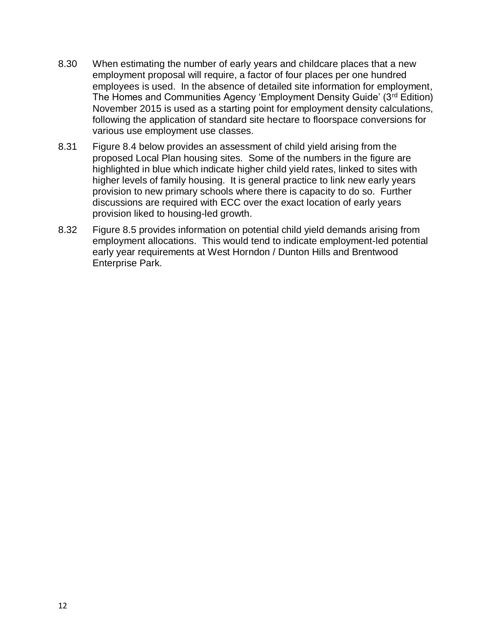- 8.30 When estimating the number of early years and childcare places that a new employment proposal will require, a factor of four places per one hundred employees is used. In the absence of detailed site information for employment, The Homes and Communities Agency 'Employment Density Guide' (3<sup>rd</sup> Edition) November 2015 is used as a starting point for employment density calculations, following the application of standard site hectare to floorspace conversions for various use employment use classes.
- 8.31 Figure 8.4 below provides an assessment of child yield arising from the proposed Local Plan housing sites. Some of the numbers in the figure are highlighted in blue which indicate higher child yield rates, linked to sites with higher levels of family housing. It is general practice to link new early years provision to new primary schools where there is capacity to do so. Further discussions are required with ECC over the exact location of early years provision liked to housing-led growth.
- 8.32 Figure 8.5 provides information on potential child yield demands arising from employment allocations. This would tend to indicate employment-led potential early year requirements at West Horndon / Dunton Hills and Brentwood Enterprise Park.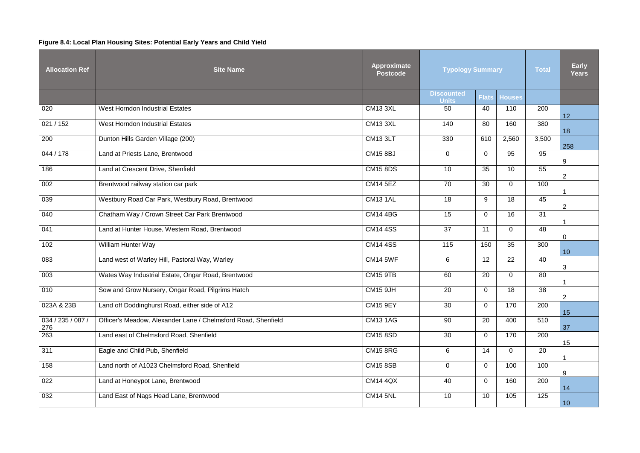# **Figure 8.4: Local Plan Housing Sites: Potential Early Years and Child Yield**

| <b>Allocation Ref</b>    | <b>Approximate</b><br><b>Site Name</b><br><b>Typology Summary</b><br><b>Total</b><br><b>Postcode</b> |                 |                                   |                |                 |       |                  |  |
|--------------------------|------------------------------------------------------------------------------------------------------|-----------------|-----------------------------------|----------------|-----------------|-------|------------------|--|
|                          |                                                                                                      |                 | <b>Discounted</b><br><b>Units</b> | <b>Flats</b>   | <b>Houses</b>   |       |                  |  |
| 020                      | <b>West Horndon Industrial Estates</b>                                                               | <b>CM13 3XL</b> | 50                                | 40             | 110             | 200   | 12               |  |
| 021 / 152                | <b>West Horndon Industrial Estates</b>                                                               | <b>CM13 3XL</b> | 140                               | 80             | 160             | 380   | 18               |  |
| 200                      | Dunton Hills Garden Village (200)                                                                    | <b>CM13 3LT</b> | 330                               | 610            | 2,560           | 3,500 | 258              |  |
| 044 / 178                | Land at Priests Lane, Brentwood                                                                      | <b>CM15 8BJ</b> | $\mathbf 0$                       | $\overline{0}$ | 95              | 95    | $\boldsymbol{9}$ |  |
| 186                      | Land at Crescent Drive, Shenfield                                                                    | <b>CM15 8DS</b> | 10                                | 35             | 10 <sup>°</sup> | 55    | $\overline{2}$   |  |
| 002                      | Brentwood railway station car park                                                                   | <b>CM14 5EZ</b> | 70                                | 30             | $\overline{0}$  | 100   |                  |  |
| 039                      | Westbury Road Car Park, Westbury Road, Brentwood                                                     | <b>CM13 1AL</b> | 18                                | 9              | 18              | 45    | $\overline{2}$   |  |
| 040                      | Chatham Way / Crown Street Car Park Brentwood                                                        | <b>CM14 4BG</b> | 15                                | $\overline{0}$ | 16              | 31    |                  |  |
| 041                      | Land at Hunter House, Western Road, Brentwood                                                        | <b>CM14 4SS</b> | 37                                | 11             | $\overline{0}$  | 48    | $\mathbf 0$      |  |
| 102                      | William Hunter Way                                                                                   | <b>CM14 4SS</b> | 115                               | 150            | 35              | 300   | 10               |  |
| 083                      | Land west of Warley Hill, Pastoral Way, Warley                                                       | <b>CM14 5WF</b> | 6                                 | 12             | 22              | 40    | 3                |  |
| 003                      | Wates Way Industrial Estate, Ongar Road, Brentwood                                                   | <b>CM15 9TB</b> | 60                                | 20             | $\overline{0}$  | 80    |                  |  |
| 010                      | Sow and Grow Nursery, Ongar Road, Pilgrims Hatch                                                     | <b>CM15 9JH</b> | 20                                | $\overline{0}$ | 18              | 38    | $\overline{2}$   |  |
| 023A & 23B               | Land off Doddinghurst Road, either side of A12                                                       | <b>CM15 9EY</b> | 30                                | $\overline{0}$ | 170             | 200   | 15               |  |
| 034 / 235 / 087 /<br>276 | Officer's Meadow, Alexander Lane / Chelmsford Road, Shenfield                                        | <b>CM13 1AG</b> | 90                                | 20             | 400             | 510   | 37               |  |
| 263                      | Land east of Chelmsford Road, Shenfield                                                              | <b>CM15 8SD</b> | 30                                | $\mathbf 0$    | 170             | 200   | 15               |  |
| 311                      | Eagle and Child Pub, Shenfield                                                                       | <b>CM15 8RG</b> | 6                                 | 14             | $\overline{0}$  | 20    |                  |  |
| 158                      | Land north of A1023 Chelmsford Road, Shenfield                                                       | <b>CM15 8SB</b> | $\mathbf 0$                       | $\mathbf 0$    | 100             | 100   | 9                |  |
| 022                      | Land at Honeypot Lane, Brentwood                                                                     | <b>CM14 4QX</b> | 40                                | $\mathbf 0$    | 160             | 200   | 14               |  |
| 032                      | Land East of Nags Head Lane, Brentwood                                                               | <b>CM14 5NL</b> | 10                                | 10             | 105             | 125   | 10               |  |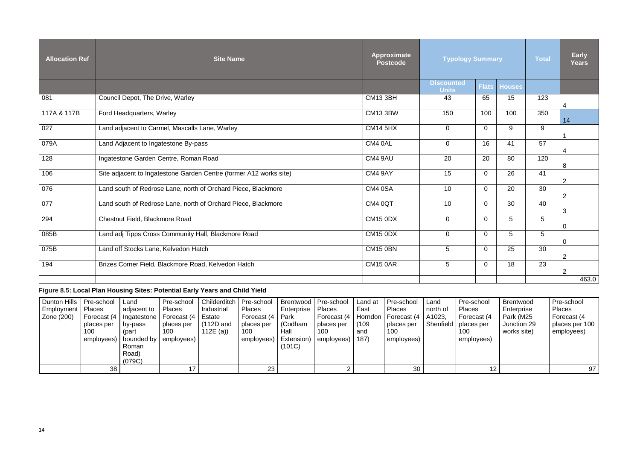| <b>Allocation Ref</b> | <b>Site Name</b>                                                   | <b>Approximate</b><br><b>Postcode</b> | <b>Typology Summary</b>           | <b>Total</b>   | <b>Early</b><br><b>Years</b> |     |                |
|-----------------------|--------------------------------------------------------------------|---------------------------------------|-----------------------------------|----------------|------------------------------|-----|----------------|
|                       |                                                                    |                                       | <b>Discounted</b><br><b>Units</b> | <b>Flats</b>   | <b>Houses</b>                |     |                |
| 081                   | Council Depot, The Drive, Warley                                   | <b>CM13 3BH</b>                       | 43                                | 65             | 15                           | 123 | 4              |
| 117A & 117B           | Ford Headquarters, Warley                                          | <b>CM13 3BW</b>                       | 150                               | 100            | 100                          | 350 | 14             |
| 027                   | Land adjacent to Carmel, Mascalls Lane, Warley                     | <b>CM14 5HX</b>                       | $\overline{0}$                    | $\Omega$       | 9                            | 9   |                |
| 079A                  | Land Adjacent to Ingatestone By-pass                               | CM4 0AL                               | $\mathbf 0$                       | 16             | 41                           | 57  | 4              |
| 128                   | Ingatestone Garden Centre, Roman Road                              | CM4 9AU                               | 20                                | 20             | 80                           | 120 | 8              |
| 106                   | Site adjacent to Ingatestone Garden Centre (former A12 works site) | CM4 9AY                               | 15                                | $\overline{0}$ | 26                           | 41  | 2              |
| 076                   | Land south of Redrose Lane, north of Orchard Piece, Blackmore      | CM4 0SA                               | 10                                | $\Omega$       | 20                           | 30  | $\overline{2}$ |
| 077                   | Land south of Redrose Lane, north of Orchard Piece, Blackmore      | CM4 0QT                               | 10                                | $\Omega$       | 30                           | 40  | 3              |
| 294                   | Chestnut Field, Blackmore Road                                     | <b>CM15 0DX</b>                       | $\Omega$                          | $\overline{0}$ | 5                            | 5   | $\mathbf 0$    |
| 085B                  | Land adj Tipps Cross Community Hall, Blackmore Road                | <b>CM15 0DX</b>                       | $\overline{0}$                    | $\Omega$       | 5                            | 5   | $\overline{0}$ |
| 075B                  | Land off Stocks Lane, Kelvedon Hatch                               | <b>CM15 0BN</b>                       | $5\phantom{.0}$                   | $\overline{0}$ | 25                           | 30  | $\overline{2}$ |
| 194                   | Brizes Corner Field, Blackmore Road, Kelvedon Hatch                | <b>CM15 0AR</b>                       | $\overline{5}$                    | $\overline{0}$ | 18                           | 23  | $\overline{2}$ |
|                       |                                                                    |                                       |                                   |                |                              |     | 463.0          |

# **Figure 8.5: Local Plan Housing Sites: Potential Early Years and Child Yield**

| Dunton Hills   Pre-school<br>Employment   Places<br>Zone (200) | Forecast (4<br>places per<br>100 | <b>Land</b><br>adjacent to<br>l   Ingatestone  <br>by-pass<br>(part<br>employees)   bounded by  <br>Roman<br>Road)<br>(079C) | Pre-school<br><b>Places</b><br>Forecast (4   Estate<br>places per<br>100<br>  employees) | Childerditch   Pre-school   Brentwood   Pre-school<br>Industrial<br>$(112D$ and<br>112E $(a)$ | <b>Places</b><br>Forecast (4   Park<br>places per<br>100<br>employees)   Extension) | Enterprise I<br>Codham<br>Hall<br>(101C) | Places<br>Forecast (4   Horndon  <br>places per<br>100<br>employees) | Land at<br>East<br>(109)<br>and<br>187) | Pre-school<br>Places<br>  Forecast (4   A1023,<br>places per<br>100<br>employees) | Land<br>north of | Pre-school<br><b>Places</b><br>Forecast (4<br>Shenfield   places per<br>100<br>employees) | Brentwood<br>Enterprise<br>Park (M25<br>Junction 29<br>works site) | Pre-school<br><b>Places</b><br>Forecast (4<br>places per 100<br>employees) |
|----------------------------------------------------------------|----------------------------------|------------------------------------------------------------------------------------------------------------------------------|------------------------------------------------------------------------------------------|-----------------------------------------------------------------------------------------------|-------------------------------------------------------------------------------------|------------------------------------------|----------------------------------------------------------------------|-----------------------------------------|-----------------------------------------------------------------------------------|------------------|-------------------------------------------------------------------------------------------|--------------------------------------------------------------------|----------------------------------------------------------------------------|
|                                                                | 38 <sup>1</sup>                  |                                                                                                                              | 17                                                                                       |                                                                                               | 23                                                                                  |                                          |                                                                      |                                         | 30                                                                                |                  | 12                                                                                        |                                                                    | 97                                                                         |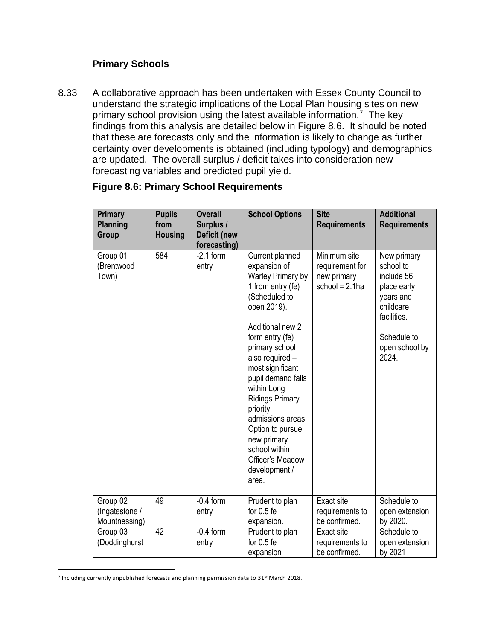# **Primary Schools**

8.33 A collaborative approach has been undertaken with Essex County Council to understand the strategic implications of the Local Plan housing sites on new primary school provision using the latest available information.<sup>7</sup> The key findings from this analysis are detailed below in Figure 8.6. It should be noted that these are forecasts only and the information is likely to change as further certainty over developments is obtained (including typology) and demographics are updated. The overall surplus / deficit takes into consideration new forecasting variables and predicted pupil yield.

| <b>Primary</b><br><b>Planning</b><br>Group  | <b>Pupils</b><br>from<br><b>Housing</b> | <b>Overall</b><br>Surplus /<br><b>Deficit (new</b><br>forecasting) | <b>School Options</b>                                                                                                                                                                                                                                                                                                                                                                                       | <b>Site</b><br><b>Requirements</b>                                  | <b>Additional</b><br><b>Requirements</b>                                                                                                 |
|---------------------------------------------|-----------------------------------------|--------------------------------------------------------------------|-------------------------------------------------------------------------------------------------------------------------------------------------------------------------------------------------------------------------------------------------------------------------------------------------------------------------------------------------------------------------------------------------------------|---------------------------------------------------------------------|------------------------------------------------------------------------------------------------------------------------------------------|
| Group 01<br>(Brentwood<br>Town)             | 584                                     | $-2.1$ form<br>entry                                               | Current planned<br>expansion of<br>Warley Primary by<br>1 from entry (fe)<br>(Scheduled to<br>open 2019).<br>Additional new 2<br>form entry (fe)<br>primary school<br>also required -<br>most significant<br>pupil demand falls<br>within Long<br><b>Ridings Primary</b><br>priority<br>admissions areas.<br>Option to pursue<br>new primary<br>school within<br>Officer's Meadow<br>development /<br>area. | Minimum site<br>requirement for<br>new primary<br>school = $2.1$ ha | New primary<br>school to<br>include 56<br>place early<br>years and<br>childcare<br>facilities.<br>Schedule to<br>open school by<br>2024. |
| Group 02<br>(Ingatestone /<br>Mountnessing) | 49                                      | $-0.4$ form<br>entry                                               | Prudent to plan<br>for $0.5$ fe<br>expansion.                                                                                                                                                                                                                                                                                                                                                               | Exact site<br>requirements to<br>be confirmed.                      | Schedule to<br>open extension<br>by 2020.                                                                                                |
| Group 03<br>(Doddinghurst                   | 42                                      | $-0.4$ form<br>entry                                               | Prudent to plan<br>for $0.5$ fe<br>expansion                                                                                                                                                                                                                                                                                                                                                                | Exact site<br>requirements to<br>be confirmed.                      | Schedule to<br>open extension<br>by 2021                                                                                                 |

#### **Figure 8.6: Primary School Requirements**

 $\overline{\phantom{a}}$ <sup>7</sup> Including currently unpublished forecasts and planning permission data to 31<sup>st</sup> March 2018.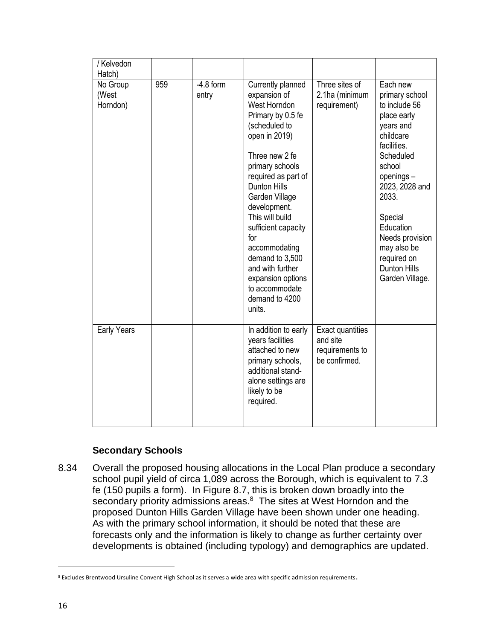| / Kelvedon<br>Hatch)          |     |                      |                                                                                                                                                                                                                                                                                                                                                                                                           |                                                                  |                                                                                                                                                                                                                                                                                       |
|-------------------------------|-----|----------------------|-----------------------------------------------------------------------------------------------------------------------------------------------------------------------------------------------------------------------------------------------------------------------------------------------------------------------------------------------------------------------------------------------------------|------------------------------------------------------------------|---------------------------------------------------------------------------------------------------------------------------------------------------------------------------------------------------------------------------------------------------------------------------------------|
| No Group<br>(West<br>Horndon) | 959 | $-4.8$ form<br>entry | Currently planned<br>expansion of<br>West Horndon<br>Primary by 0.5 fe<br>(scheduled to<br>open in 2019)<br>Three new 2 fe<br>primary schools<br>required as part of<br><b>Dunton Hills</b><br>Garden Village<br>development.<br>This will build<br>sufficient capacity<br>for<br>accommodating<br>demand to 3,500<br>and with further<br>expansion options<br>to accommodate<br>demand to 4200<br>units. | Three sites of<br>2.1ha (minimum<br>requirement)                 | Each new<br>primary school<br>to include 56<br>place early<br>years and<br>childcare<br>facilities.<br>Scheduled<br>school<br>openings-<br>2023, 2028 and<br>2033.<br>Special<br>Education<br>Needs provision<br>may also be<br>required on<br><b>Dunton Hills</b><br>Garden Village. |
| Early Years                   |     |                      | In addition to early<br>years facilities<br>attached to new<br>primary schools,<br>additional stand-<br>alone settings are<br>likely to be<br>required.                                                                                                                                                                                                                                                   | Exact quantities<br>and site<br>requirements to<br>be confirmed. |                                                                                                                                                                                                                                                                                       |

# **Secondary Schools**

8.34 Overall the proposed housing allocations in the Local Plan produce a secondary school pupil yield of circa 1,089 across the Borough, which is equivalent to 7.3 fe (150 pupils a form). In Figure 8.7, this is broken down broadly into the secondary priority admissions areas.<sup>8</sup> The sites at West Horndon and the proposed Dunton Hills Garden Village have been shown under one heading. As with the primary school information, it should be noted that these are forecasts only and the information is likely to change as further certainty over developments is obtained (including typology) and demographics are updated.

 $\overline{a}$ 

<sup>8</sup> Excludes Brentwood Ursuline Convent High School as it serves a wide area with specific admission requirements.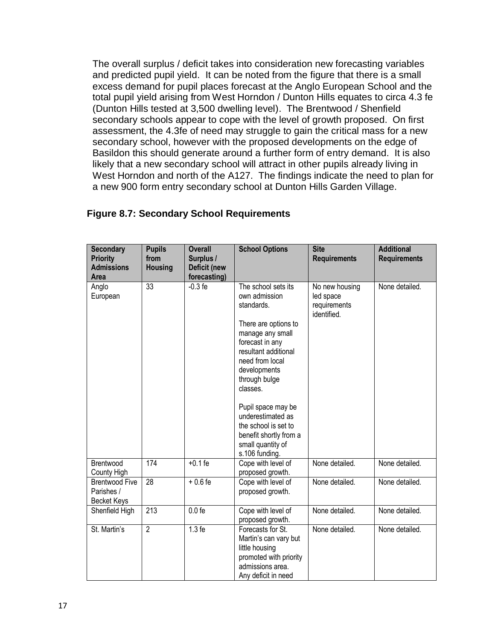The overall surplus / deficit takes into consideration new forecasting variables and predicted pupil yield. It can be noted from the figure that there is a small excess demand for pupil places forecast at the Anglo European School and the total pupil yield arising from West Horndon / Dunton Hills equates to circa 4.3 fe (Dunton Hills tested at 3,500 dwelling level). The Brentwood / Shenfield secondary schools appear to cope with the level of growth proposed. On first assessment, the 4.3fe of need may struggle to gain the critical mass for a new secondary school, however with the proposed developments on the edge of Basildon this should generate around a further form of entry demand. It is also likely that a new secondary school will attract in other pupils already living in West Horndon and north of the A127. The findings indicate the need to plan for a new 900 form entry secondary school at Dunton Hills Garden Village.

| <b>Secondary</b><br><b>Priority</b><br><b>Admissions</b><br>Area | <b>Pupils</b><br>from<br><b>Housing</b> | <b>Overall</b><br>Surplus /<br>Deficit (new<br>forecasting) | <b>School Options</b>                                                                                                                                                                                                                                                                                                                         | <b>Site</b><br><b>Requirements</b>                         | <b>Additional</b><br><b>Requirements</b> |
|------------------------------------------------------------------|-----------------------------------------|-------------------------------------------------------------|-----------------------------------------------------------------------------------------------------------------------------------------------------------------------------------------------------------------------------------------------------------------------------------------------------------------------------------------------|------------------------------------------------------------|------------------------------------------|
| Anglo<br>European                                                | 33                                      | $-0.3$ fe                                                   | The school sets its<br>own admission<br>standards.<br>There are options to<br>manage any small<br>forecast in any<br>resultant additional<br>need from local<br>developments<br>through bulge<br>classes.<br>Pupil space may be<br>underestimated as<br>the school is set to<br>benefit shortly from a<br>small quantity of<br>s.106 funding. | No new housing<br>led space<br>requirements<br>identified. | None detailed.                           |
| Brentwood<br>County High                                         | 174                                     | $+0.1$ fe                                                   | Cope with level of<br>proposed growth.                                                                                                                                                                                                                                                                                                        | None detailed.                                             | None detailed.                           |
| <b>Brentwood Five</b><br>Parishes /<br><b>Becket Keys</b>        | 28                                      | $+0.6fe$                                                    | Cope with level of<br>proposed growth.                                                                                                                                                                                                                                                                                                        | None detailed.                                             | None detailed.                           |
| Shenfield High                                                   | 213                                     | $0.0 f$ e                                                   | Cope with level of<br>proposed growth.                                                                                                                                                                                                                                                                                                        | None detailed.                                             | None detailed.                           |
| St. Martin's                                                     | $\overline{2}$                          | $1.3f$ e                                                    | Forecasts for St.<br>Martin's can vary but<br>little housing<br>promoted with priority<br>admissions area.<br>Any deficit in need                                                                                                                                                                                                             | None detailed.                                             | None detailed.                           |

## **Figure 8.7: Secondary School Requirements**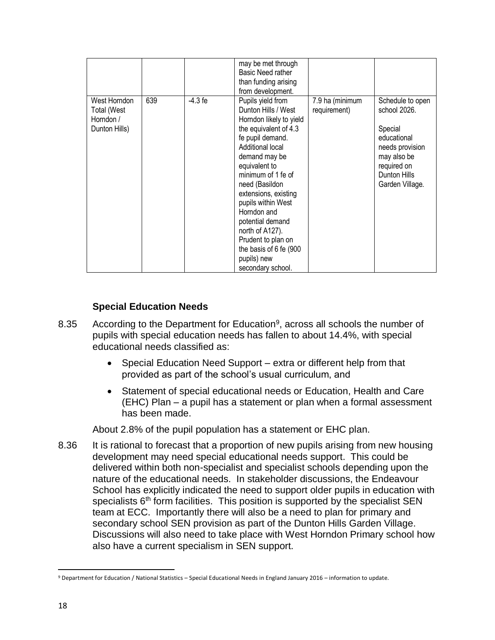|                                                                  |     |           | may be met through<br>Basic Need rather<br>than funding arising<br>from development.                                                                                                                                                                                                                                                                                                                   |                                 |                                                                                                                                                |
|------------------------------------------------------------------|-----|-----------|--------------------------------------------------------------------------------------------------------------------------------------------------------------------------------------------------------------------------------------------------------------------------------------------------------------------------------------------------------------------------------------------------------|---------------------------------|------------------------------------------------------------------------------------------------------------------------------------------------|
| West Horndon<br><b>Total (West</b><br>Horndon /<br>Dunton Hills) | 639 | $-4.3$ fe | Pupils yield from<br>Dunton Hills / West<br>Horndon likely to yield<br>the equivalent of 4.3<br>fe pupil demand.<br>Additional local<br>demand may be<br>equivalent to<br>minimum of 1 fe of<br>need (Basildon<br>extensions, existing<br>pupils within West<br>Horndon and<br>potential demand<br>north of A127).<br>Prudent to plan on<br>the basis of 6 fe (900<br>pupils) new<br>secondary school. | 7.9 ha (minimum<br>requirement) | Schedule to open<br>school 2026.<br>Special<br>educational<br>needs provision<br>may also be<br>required on<br>Dunton Hills<br>Garden Village. |

# **Special Education Needs**

- 8.35 According to the Department for Education<sup>9</sup>, across all schools the number of pupils with special education needs has fallen to about 14.4%, with special educational needs classified as:
	- Special Education Need Support extra or different help from that provided as part of the school's usual curriculum, and
	- Statement of special educational needs or Education, Health and Care (EHC) Plan – a pupil has a statement or plan when a formal assessment has been made.

About 2.8% of the pupil population has a statement or EHC plan.

8.36 It is rational to forecast that a proportion of new pupils arising from new housing development may need special educational needs support. This could be delivered within both non-specialist and specialist schools depending upon the nature of the educational needs. In stakeholder discussions, the Endeavour School has explicitly indicated the need to support older pupils in education with specialists  $6<sup>th</sup>$  form facilities. This position is supported by the specialist SEN team at ECC. Importantly there will also be a need to plan for primary and secondary school SEN provision as part of the Dunton Hills Garden Village. Discussions will also need to take place with West Horndon Primary school how also have a current specialism in SEN support.

 $\overline{\phantom{a}}$ <sup>9</sup> Department for Education / National Statistics – Special Educational Needs in England January 2016 – information to update.